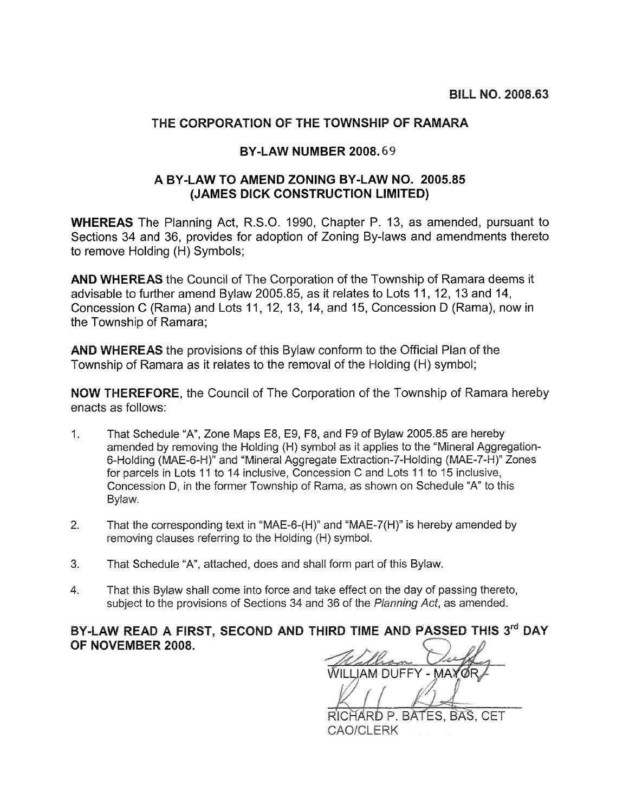## THE CORPORATION OF THE TOWNSHIP OF RAMARA

## **BY-LAW NUMBER 2008.69**

## A BY-LAW TO AMEND ZONING BY-LAW NO. 2005.85 (JAMES DICK CONSTRUCTION LIMITED)

**WHEREAS** The Planning Act, R.S.O. 1990, Chapter P. 13, as amended, pursuant to Sections 34 and 36, provides for adoption of Zoning By-laws and amendments thereto to remove Holding (H) Symbols;

AND WHEREAS the Council of The Corporation of the Township of Ramara deems it advisable to further amend Bylaw 2005.85, as it relates to Lots 11, 12, 13 and 14, Concession C (Rama) and Lots 11, 12, 13, 14, and 15, Concession D (Rama), now in the Township of Ramara:

**AND WHEREAS** the provisions of this Bylaw conform to the Official Plan of the Township of Ramara as it relates to the removal of the Holding (H) symbol;

**NOW THEREFORE, the Council of The Corporation of the Township of Ramara hereby** enacts as follows:

- $1<sup>1</sup>$ That Schedule "A", Zone Maps E8, E9, F8, and F9 of Bylaw 2005.85 are hereby amended by removing the Holding (H) symbol as it applies to the "Mineral Aggregation-6-Holding (MAE-6-H)" and "Mineral Aggregate Extraction-7-Holding (MAE-7-H)" Zones for parcels in Lots 11 to 14 inclusive, Concession C and Lots 11 to 15 inclusive, Concession D, in the former Township of Rama, as shown on Schedule "A" to this Bylaw.
- That the corresponding text in "MAE-6-(H)" and "MAE-7(H)" is hereby amended by  $2.$ removing clauses referring to the Holding (H) symbol.
- 3. That Schedule "A", attached, does and shall form part of this Bylaw.
- $\overline{4}$ . That this Bylaw shall come into force and take effect on the day of passing thereto. subject to the provisions of Sections 34 and 36 of the Planning Act, as amended.

## BY-LAW READ A FIRST, SECOND AND THIRD TIME AND PASSED THIS 3rd DAY OF NOVEMBER 2008.

**WILLIAM DUFFY - MAY** 

RICHARD P. BATES. BAS. CET CAO/CLERK